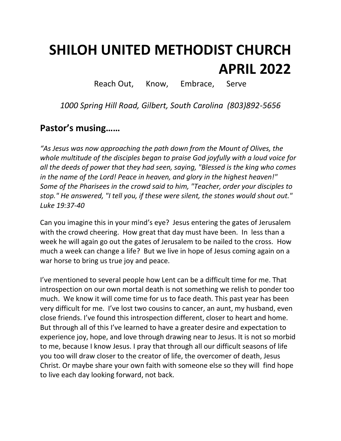# **SHILOH UNITED METHODIST CHURCH APRIL 2022**

Reach Out, Know, Embrace, Serve

*1000 Spring Hill Road, Gilbert, South Carolina (803)892-5656*

## **Pastor's musing……**

*"As Jesus was now approaching the path down from the Mount of Olives, the whole multitude of the disciples began to praise God joyfully with a loud voice for all the deeds of power that they had seen, saying, "Blessed is the king who comes in the name of the Lord! Peace in heaven, and glory in the highest heaven!" Some of the Pharisees in the crowd said to him, "Teacher, order your disciples to stop." He answered, "I tell you, if these were silent, the stones would shout out." Luke 19:37-40*

Can you imagine this in your mind's eye? Jesus entering the gates of Jerusalem with the crowd cheering. How great that day must have been. In less than a week he will again go out the gates of Jerusalem to be nailed to the cross. How much a week can change a life? But we live in hope of Jesus coming again on a war horse to bring us true joy and peace.

I've mentioned to several people how Lent can be a difficult time for me. That introspection on our own mortal death is not something we relish to ponder too much. We know it will come time for us to face death. This past year has been very difficult for me. I've lost two cousins to cancer, an aunt, my husband, even close friends. I've found this introspection different, closer to heart and home. But through all of this I've learned to have a greater desire and expectation to experience joy, hope, and love through drawing near to Jesus. It is not so morbid to me, because I know Jesus. I pray that through all our difficult seasons of life you too will draw closer to the creator of life, the overcomer of death, Jesus Christ. Or maybe share your own faith with someone else so they will find hope to live each day looking forward, not back.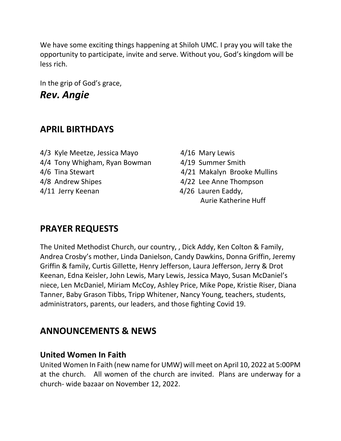We have some exciting things happening at Shiloh UMC. I pray you will take the opportunity to participate, invite and serve. Without you, God's kingdom will be less rich.

In the grip of God's grace, *Rev. Angie* 

## **APRIL BIRTHDAYS**

- 4/3 Kyle Meetze, Jessica Mayo 4/16 Mary Lewis 4/4 Tony Whigham, Ryan Bowman 4/19 Summer Smith 4/6 Tina Stewart 4/21 Makalyn Brooke Mullins 4/8 Andrew Shipes 4/22 Lee Anne Thompson 4/11 Jerry Keenan 1980 and 126 Lauren Eaddy,
- -
	-
	-
	- Aurie Katherine Huff

## **PRAYER REQUESTS**

The United Methodist Church, our country, , Dick Addy, Ken Colton & Family, Andrea Crosby's mother, Linda Danielson, Candy Dawkins, Donna Griffin, Jeremy Griffin & family, Curtis Gillette, Henry Jefferson, Laura Jefferson, Jerry & Drot Keenan, Edna Keisler, John Lewis, Mary Lewis, Jessica Mayo, Susan McDaniel's niece, Len McDaniel, Miriam McCoy, Ashley Price, Mike Pope, Kristie Riser, Diana Tanner, Baby Grason Tibbs, Tripp Whitener, Nancy Young, teachers, students, administrators, parents, our leaders, and those fighting Covid 19.

## **ANNOUNCEMENTS & NEWS**

#### **United Women In Faith**

United Women In Faith (new name for UMW) will meet on April 10, 2022 at 5:00PM at the church. All women of the church are invited. Plans are underway for a church- wide bazaar on November 12, 2022.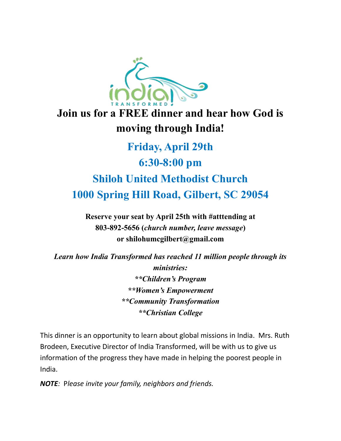

## **Join us for a FREE dinner and hear how God is moving through India!**

## **Friday, April 29th 6:30-8:00 pm Shiloh United Methodist Church 1000 Spring Hill Road, Gilbert, SC 29054**

**Reserve your seat by April 25th with #atttending at 803-892-5656 (***church number, leave message***) or shilohumcgilbert@gmail.com**

*Learn how India Transformed has reached 11 million people through its ministries: \*\*Children's Program \*\*Women's Empowerment \*\*Community Transformation \*\*Christian College*

This dinner is an opportunity to learn about global missions in India. Mrs. Ruth Brodeen, Executive Director of India Transformed, will be with us to give us information of the progress they have made in helping the poorest people in India.

*NOTE:* P*lease invite your family, neighbors and friends.*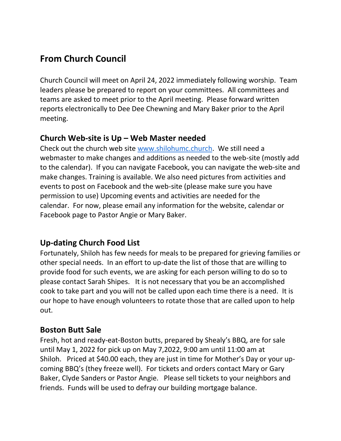## **From Church Council**

Church Council will meet on April 24, 2022 immediately following worship. Team leaders please be prepared to report on your committees. All committees and teams are asked to meet prior to the April meeting. Please forward written reports electronically to Dee Dee Chewning and Mary Baker prior to the April meeting.

#### **Church Web-site is Up – Web Master needed**

Check out the church web site [www.shilohumc.church.](http://www.shilohumc.church/) We still need a webmaster to make changes and additions as needed to the web-site (mostly add to the calendar). If you can navigate Facebook, you can navigate the web-site and make changes. Training is available. We also need pictures from activities and events to post on Facebook and the web-site (please make sure you have permission to use) Upcoming events and activities are needed for the calendar. For now, please email any information for the website, calendar or Facebook page to Pastor Angie or Mary Baker.

#### **Up-dating Church Food List**

Fortunately, Shiloh has few needs for meals to be prepared for grieving families or other special needs. In an effort to up-date the list of those that are willing to provide food for such events, we are asking for each person willing to do so to please contact Sarah Shipes. It is not necessary that you be an accomplished cook to take part and you will not be called upon each time there is a need. It is our hope to have enough volunteers to rotate those that are called upon to help out.

#### **Boston Butt Sale**

Fresh, hot and ready-eat-Boston butts, prepared by Shealy's BBQ, are for sale until May 1, 2022 for pick up on May 7,2022, 9:00 am until 11:00 am at Shiloh. Priced at \$40.00 each, they are just in time for Mother's Day or your upcoming BBQ's (they freeze well). For tickets and orders contact Mary or Gary Baker, Clyde Sanders or Pastor Angie. Please sell tickets to your neighbors and friends. Funds will be used to defray our building mortgage balance.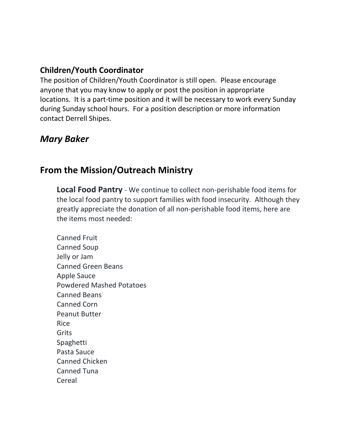#### **Children/Youth Coordinator**

The position of Children/Youth Coordinator is still open. Please encourage anyone that you may know to apply or post the position in appropriate locations. It is a part-time position and it will be necessary to work every Sunday during Sunday school hours. For a position description or more information contact Derrell Shipes.

## *Mary Baker*

## **From the Mission/Outreach Ministry**

**Local Food Pantry** - We continue to collect non-perishable food items for the local food pantry to support families with food insecurity. Although they greatly appreciate the donation of all non-perishable food items, here are the items most needed:

Canned Fruit Canned Soup Jelly or Jam Canned Green Beans Apple Sauce Powdered Mashed Potatoes Canned Beans Canned Corn Peanut Butter Rice Grits Spaghetti Pasta Sauce Canned Chicken Canned Tuna Cereal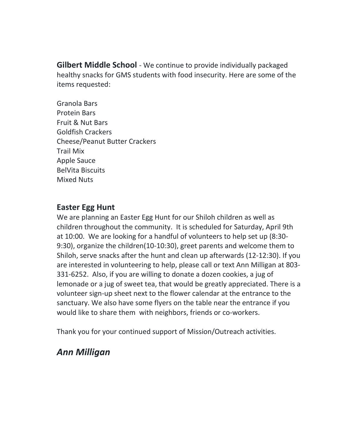**Gilbert Middle School** - We continue to provide individually packaged healthy snacks for GMS students with food insecurity. Here are some of the items requested:

Granola Bars Protein Bars Fruit & Nut Bars Goldfish Crackers Cheese/Peanut Butter Crackers Trail Mix Apple Sauce BelVita Biscuits Mixed Nuts

#### **Easter Egg Hunt**

We are planning an Easter Egg Hunt for our Shiloh children as well as children throughout the community. It is scheduled for Saturday, April 9th at 10:00. We are looking for a handful of volunteers to help set up (8:30- 9:30), organize the children(10-10:30), greet parents and welcome them to Shiloh, serve snacks after the hunt and clean up afterwards (12-12:30). If you are interested in volunteering to help, please call or text Ann Milligan at 803- 331-6252. Also, if you are willing to donate a dozen cookies, a jug of lemonade or a jug of sweet tea, that would be greatly appreciated. There is a volunteer sign-up sheet next to the flower calendar at the entrance to the sanctuary. We also have some flyers on the table near the entrance if you would like to share them with neighbors, friends or co-workers.

Thank you for your continued support of Mission/Outreach activities.

## *Ann Milligan*